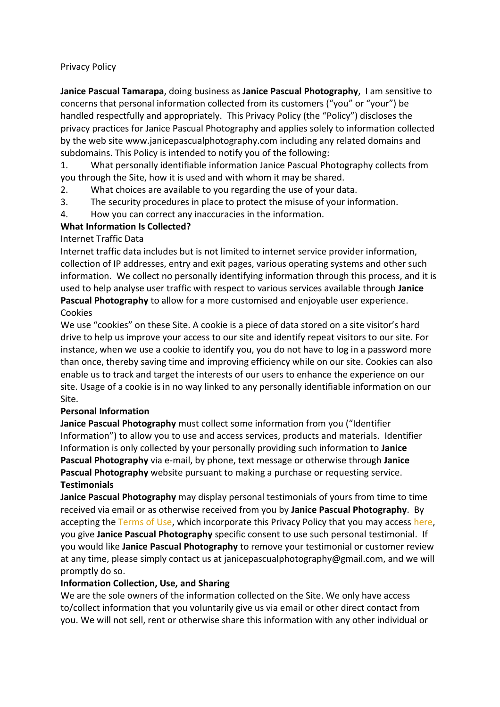### Privacy Policy

**Janice Pascual Tamarapa**, doing business as **Janice Pascual Photography**, I am sensitive to concerns that personal information collected from its customers ("you" or "your") be handled respectfully and appropriately. This Privacy Policy (the "Policy") discloses the privacy practices for Janice Pascual Photography and applies solely to information collected by the web site www.janicepascualphotography.com including any related domains and subdomains. This Policy is intended to notify you of the following:

1. What personally identifiable information Janice Pascual Photography collects from you through the Site, how it is used and with whom it may be shared.

- 2. What choices are available to you regarding the use of your data.
- 3. The security procedures in place to protect the misuse of your information.
- 4. How you can correct any inaccuracies in the information.

### **What Information Is Collected?**

### Internet Traffic Data

Internet traffic data includes but is not limited to internet service provider information, collection of IP addresses, entry and exit pages, various operating systems and other such information. We collect no personally identifying information through this process, and it is used to help analyse user traffic with respect to various services available through **Janice Pascual Photography** to allow for a more customised and enjoyable user experience. Cookies

We use "cookies" on these Site. A cookie is a piece of data stored on a site visitor's hard drive to help us improve your access to our site and identify repeat visitors to our site. For instance, when we use a cookie to identify you, you do not have to log in a password more than once, thereby saving time and improving efficiency while on our site. Cookies can also enable us to track and target the interests of our users to enhance the experience on our site. Usage of a cookie is in no way linked to any personally identifiable information on our Site.

### **Personal Information**

**Janice Pascual Photography** must collect some information from you ("Identifier Information") to allow you to use and access services, products and materials. Identifier Information is only collected by your personally providing such information to **Janice Pascual Photography** via e-mail, by phone, text message or otherwise through **Janice Pascual Photography** website pursuant to making a purchase or requesting service. **Testimonials**

**Janice Pascual Photography** may display personal testimonials of yours from time to time received via email or as otherwise received from you by **Janice Pascual Photography**. By accepting the [Terms of Use,](https://beautifulimagesphotography.com.au/terms-of-use/) which incorporate this Privacy Policy that you may access [here,](https://beautifulimagesphotography.com.au/terms-of-use/) you give **Janice Pascual Photography** specific consent to use such personal testimonial. If you would like **Janice Pascual Photography** to remove your testimonial or customer review at any time, please simply contact us at janicepascualphotography@gmail.com, and we will promptly do so.

### **Information Collection, Use, and Sharing**

We are the sole owners of the information collected on the Site. We only have access to/collect information that you voluntarily give us via email or other direct contact from you. We will not sell, rent or otherwise share this information with any other individual or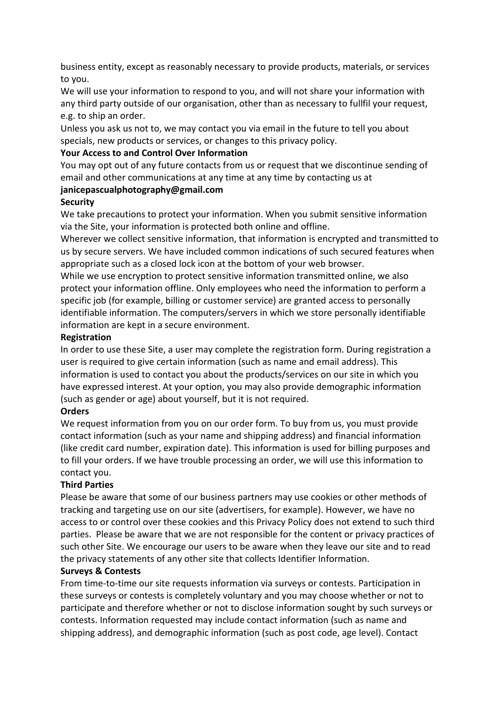business entity, except as reasonably necessary to provide products, materials, or services to you.

We will use your information to respond to you, and will not share your information with any third party outside of our organisation, other than as necessary to fullfil your request, e.g. to ship an order.

Unless you ask us not to, we may contact you via email in the future to tell you about specials, new products or services, or changes to this privacy policy.

### **Your Access to and Control Over Information**

You may opt out of any future contacts from us or request that we discontinue sending of email and other communications at any time at any time by contacting us at

### **janicepascualphotography@gmail.com**

### **Security**

We take precautions to protect your information. When you submit sensitive information via the Site, your information is protected both online and offline.

Wherever we collect sensitive information, that information is encrypted and transmitted to us by secure servers. We have included common indications of such secured features when appropriate such as a closed lock icon at the bottom of your web browser.

While we use encryption to protect sensitive information transmitted online, we also protect your information offline. Only employees who need the information to perform a specific job (for example, billing or customer service) are granted access to personally identifiable information. The computers/servers in which we store personally identifiable information are kept in a secure environment.

### **Registration**

In order to use these Site, a user may complete the registration form. During registration a user is required to give certain information (such as name and email address). This information is used to contact you about the products/services on our site in which you have expressed interest. At your option, you may also provide demographic information (such as gender or age) about yourself, but it is not required.

# **Orders**

We request information from you on our order form. To buy from us, you must provide contact information (such as your name and shipping address) and financial information (like credit card number, expiration date). This information is used for billing purposes and to fill your orders. If we have trouble processing an order, we will use this information to contact you.

# **Third Parties**

Please be aware that some of our business partners may use cookies or other methods of tracking and targeting use on our site (advertisers, for example). However, we have no access to or control over these cookies and this Privacy Policy does not extend to such third parties. Please be aware that we are not responsible for the content or privacy practices of such other Site. We encourage our users to be aware when they leave our site and to read the privacy statements of any other site that collects Identifier Information.

# **Surveys & Contests**

From time-to-time our site requests information via surveys or contests. Participation in these surveys or contests is completely voluntary and you may choose whether or not to participate and therefore whether or not to disclose information sought by such surveys or contests. Information requested may include contact information (such as name and shipping address), and demographic information (such as post code, age level). Contact